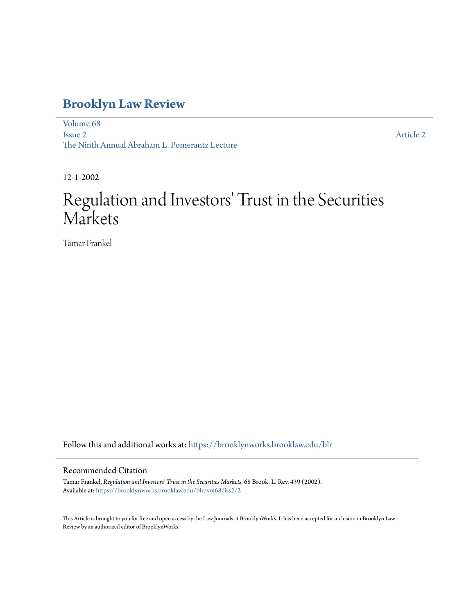## **[Brooklyn Law Review](https://brooklynworks.brooklaw.edu/blr?utm_source=brooklynworks.brooklaw.edu%2Fblr%2Fvol68%2Fiss2%2F2&utm_medium=PDF&utm_campaign=PDFCoverPages)**

[Volume 68](https://brooklynworks.brooklaw.edu/blr/vol68?utm_source=brooklynworks.brooklaw.edu%2Fblr%2Fvol68%2Fiss2%2F2&utm_medium=PDF&utm_campaign=PDFCoverPages) [Issue 2](https://brooklynworks.brooklaw.edu/blr/vol68/iss2?utm_source=brooklynworks.brooklaw.edu%2Fblr%2Fvol68%2Fiss2%2F2&utm_medium=PDF&utm_campaign=PDFCoverPages) The Ninth Annual Abraham L. Pomerantz Lecture

[Article 2](https://brooklynworks.brooklaw.edu/blr/vol68/iss2/2?utm_source=brooklynworks.brooklaw.edu%2Fblr%2Fvol68%2Fiss2%2F2&utm_medium=PDF&utm_campaign=PDFCoverPages)

12-1-2002

# Regulation and Investors' Trust in the Securities Markets

Tamar Frankel

Follow this and additional works at: [https://brooklynworks.brooklaw.edu/blr](https://brooklynworks.brooklaw.edu/blr?utm_source=brooklynworks.brooklaw.edu%2Fblr%2Fvol68%2Fiss2%2F2&utm_medium=PDF&utm_campaign=PDFCoverPages)

#### Recommended Citation

Tamar Frankel, *Regulation and Investors' Trust in the Securities Markets*, 68 Brook. L. Rev. 439 (2002). Available at: [https://brooklynworks.brooklaw.edu/blr/vol68/iss2/2](https://brooklynworks.brooklaw.edu/blr/vol68/iss2/2?utm_source=brooklynworks.brooklaw.edu%2Fblr%2Fvol68%2Fiss2%2F2&utm_medium=PDF&utm_campaign=PDFCoverPages)

This Article is brought to you for free and open access by the Law Journals at BrooklynWorks. It has been accepted for inclusion in Brooklyn Law Review by an authorized editor of BrooklynWorks.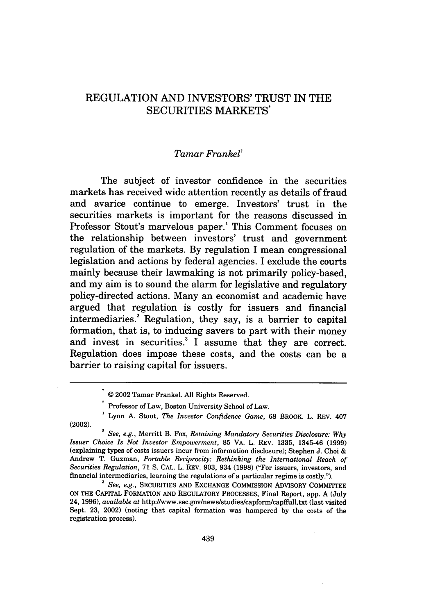### REGULATION AND INVESTORS' TRUST IN THE SECURITIES MARKETS\*

#### *Tamar Frankel'*

The subject of investor confidence in the securities markets has received wide attention recently as details of fraud and avarice continue to emerge. Investors' trust in the securities markets is important for the reasons discussed in Professor Stout's marvelous paper.<sup>1</sup> This Comment focuses on the relationship between investors' trust and government regulation of the markets. By regulation I mean congressional legislation and actions by federal agencies. I exclude the courts mainly because their lawmaking is not primarily policy-based, and my aim is to sound the alarm for legislative and regulatory policy-directed actions. Many an economist and academic have argued that regulation is costly for issuers and financial intermediaries.<sup>2</sup> Regulation, they say, is a barrier to capital formation, that is, to inducing savers to part with their money and invest in securities.<sup>3</sup> I assume that they are correct. Regulation does impose these costs, and the costs can be a barrier to raising capital for issuers.

*Issuer Choice Is Not Investor Empowerment,* **85** VA. L. REV. 1335, 1345-46 (1999) (explaining types of costs issuers incur from information disclosure); Stephen J. Choi & Andrew T. Guzman, *Portable Reciprocity: Rethinking the International Reach of Securities Regulation,* 71 **S.** CAL. L. REV. 903, 934 (1998) ("For issuers, investors, and financial intermediaries, learning the regulations of a particular regime is costly.").

*<sup>3</sup>See, e.g.,* SECURITIES AND EXCHANGE COMMISSION ADVISORY COMMITTEE **ON THE** CAPITAL FORMATION **AND** REGULATORY PROCESSES, Final Report, app. A (July 24, 1996), *available at* http://www.sec.gov/news/studies/capform/capffull.txt (last visited Sept. **23,** 2002) (noting that capital formation was hampered by the costs of the registration process).

<sup>© 2002</sup> Tamar Frankel. All Rights Reserved.

<sup>&</sup>lt;sup>†</sup> Professor of Law, Boston University School of Law.

Lynn A. Stout, *The Investor Confidence Game,* **68** BROOK. L. REV. 407 (2002). **,** *See, e.g.,* Merritt B. Fox, *Retaining Mandatory Securities Disclosure: Why*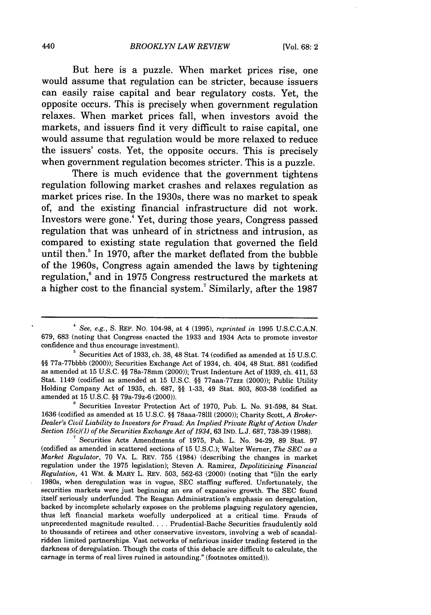But here is a puzzle. When market prices rise, one would assume that regulation can be stricter, because issuers can easily raise capital and bear regulatory costs. Yet, the opposite occurs. This is precisely when government regulation relaxes. When market prices fall, when investors avoid the markets, and issuers find it very difficult to raise capital, one would assume that regulation would be more relaxed to reduce the issuers' costs. Yet, the opposite occurs. This is precisely when government regulation becomes stricter. This is a puzzle.

There is much evidence that the government tightens regulation following market crashes and relaxes regulation as market prices rise. In the 1930s, there was no market to speak of, and the existing financial infrastructure did not work. Investors were gone.4 Yet, during those years, Congress passed regulation that was unheard of in strictness and intrusion, as compared to existing state regulation that governed the field until then.<sup>5</sup> In 1970, after the market deflated from the bubble of the 1960s, Congress again amended the laws **by** tightening regulation,6 and in **1975** Congress restructured the markets at a higher cost to the financial system.7 Similarly, after the **1987**

**'** Securities Investor Protection Act of 1970, Pub. L. No. 91-598, 84 Stat. 1636 (codified as amended at 15 U.S.C. §§ 78aaa-78111 (2000)); Charity Scott, *A Broker-Dealer's Civil Liability to Investors for Fraud: An Implied Private Right of Action Under Section 15(c)(1) of the Securities Exchange Act of 1934,* 63 IND. L.J. 687, 738-39 (1988).

**<sup>7</sup>**Securities Acts Amendments of 1975, Pub. L. No. 94-29, 89 Stat. 97 (codified as amended in scattered sections of 15 U.S.C.); Walter Werner, *The SEC as a Market Regulator,* 70 VA. L. REV. 755 (1984) (describing the changes in market regulation under the 1975 legislation); Steven A. Ramirez, *Depoliticizing Financial Regulation,* 41 WM. & MARY L. REV. 503, 562-63 (2000) (noting that "[in the early 1980s, when deregulation was in vogue, SEC staffing suffered. Unfortunately, the securities markets were just beginning an era of expansive growth. The SEC found itself seriously underfunded. The Reagan Administration's emphasis on deregulation, backed by incomplete scholarly exposes on the problems plaguing regulatory agencies, thus left financial markets woefully underpoliced at a critical time. Frauds of unprecedented magnitude resulted **....** Prudential-Bache Securities fraudulently sold to thousands of retirees and other conservative investors, involving a web of scandalridden limited partnerships. Vast networks of nefarious insider trading festered in the darkness of deregulation. Though the costs of this debacle are difficult to calculate, the carnage in terms of real lives ruined is astounding." (footnotes omitted)).

*<sup>4</sup>*See, e.g., S. REP. NO. 104-98, at 4 (1995), *reprinted in* 1995 U.S.C.C.A.N. 679, 683 (noting that Congress enacted the 1933 and 1934 Acts to promote investor confidence and thus encourage investment).

**<sup>&#</sup>x27;** Securities Act of 1933, ch. 38, 48 Stat. 74 (codified as amended at **15** U.S.C. *§§* 77a-77bbbb (2000)); Securities Exchange Act of 1934, ch. 404, 48 Stat. 881 (codified as amended at 15 U.S.C. §§ 78a-78mm (2000)); Trust Indenture Act of 1939, ch. 411, 53 Stat. 1149 (codified as amended at 15 U.S.C. §§ 77aaa-77zzz (2000)); Public Utility Holding Company Act of 1935, ch. 687, §§ 1-33, 49 Stat. 803, 803-38 (codified as amended at 15 U.S.C. §§ 79a-79z-6 (2000)).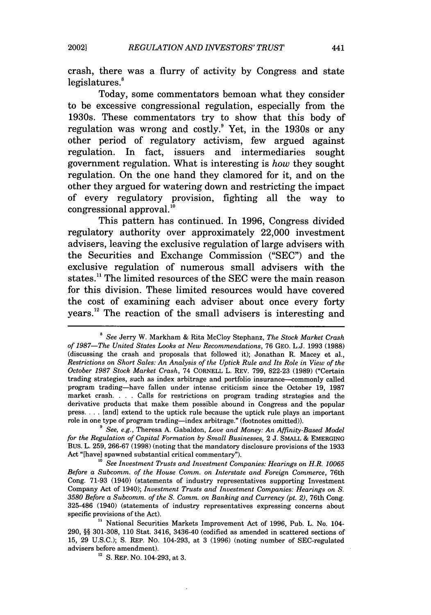crash, there was a flurry of activity **by** Congress and state legislatures.<sup>8</sup>

Today, some commentators bemoan what they consider to be excessive congressional regulation, especially from the 1930s. These commentators try to show that this body of regulation was wrong and costly. $9$  Yet, in the 1930s or any other period of regulatory activism, few argued against regulation. In fact, issuers and intermediaries sought government regulation. What is interesting is *how* they sought regulation. On the one hand they clamored for it, and on the other they argued for watering down and restricting the impact of every regulatory provision, fighting all the way to congressional approval."

This pattern has continued. In **1996,** Congress divided regulatory authority over approximately 22,000 investment advisers, leaving the exclusive regulation of large advisers with the Securities and Exchange Commission **("SEC")** and the exclusive regulation of numerous small advisers with the states." The limited resources of the **SEC** were the main reason for this division. These limited resources would have covered the cost of examining each adviser about once every forty vears. $^{12}$  The reaction of the small advisers is interesting and

**<sup>8</sup>***See* Jerry W. Markham & Rita McCloy Stephanz, *The Stock Market Crash of 1987-The United States Looks at New Recommendations,* 76 GEO. L.J. 1993 (1988) (discussing the crash and proposals that followed it); Jonathan R. Macey et al., *Restrictions on Short Sales: An Analysis of the Uptick Rule and Its Role in View of the October 1987 Stock Market Crash,* 74 CORNELL L. REV. 799, 822-23 (1989) ("Certain trading strategies, such as index arbitrage and portfolio insurance-commonly called program trading-have fallen under intense criticism since the October 19, 1987 market crash. . **.** . Calls for restrictions on program trading strategies and the derivative products that make them possible abound in Congress and the popular press **....** [and] extend to the uptick rule because the uptick rule plays an important role in one type of program trading-index arbitrage." (footnotes omitted)).

*See, e.g.,* Theresa A. Gabaldon, *Love and Money: An Affinity-Based Model for the Regulation of Capital Formation by Small Businesses,* 2 J. SMALL & EMERGING BUS. L. 259, 266-67 (1998) (noting that the mandatory disclosure provisions of the 1933 Act "[have] spawned substantial critical commentary").

*<sup>&#</sup>x27;0 See Investment Trusts and Investment Companies: Hearings on H.R. 10065 Before a Subcomm. of the House Comm. on Interstate and Foreign Commerce,* 76th Cong. 71-93 (1940) (statements of industry representatives supporting Investment Company Act of 1940); *Investment Trusts and Investment Companies: Hearings on S. 3580 Before a Subcomm. of the S. Comm. on Banking and Currency (pt. 2),* 76th Cong. 325-486 (1940) (statements of industry representatives expressing concerns about specific provisions of the Act).

**<sup>&</sup>quot;** National Securities Markets Improvement Act of 1996, Pub. L. No. 104- 290, §§ 301-308, 110 Stat. 3416, 3436-40 (codified as amended in scattered sections of 15, 29 U.S.C.); S. REP. No. 104-293, at 3 (1996) (noting number of SEC-regulated advisers before amendment).

*<sup>&</sup>quot;* S. REP. No. 104-293, at 3.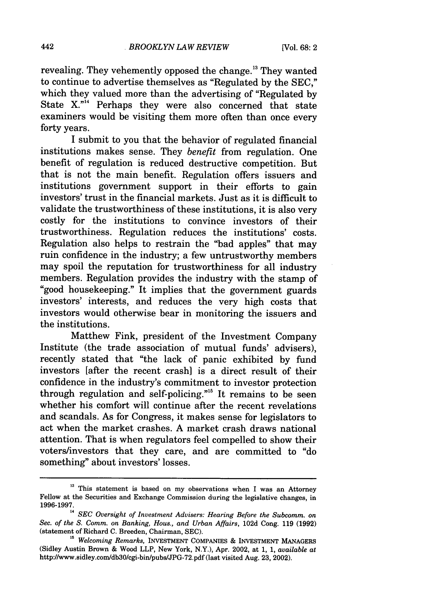revealing. They vehemently opposed the change." They wanted to continue to advertise themselves as "Regulated by the SEC," which they valued more than the advertising of "Regulated by State X."<sup>14</sup> Perhaps they were also concerned that state examiners would be visiting them more often than once every forty years.

I submit to you that the behavior of regulated financial institutions makes sense. They *benefit* from regulation. One benefit of regulation is reduced destructive competition. But that is not the main benefit. Regulation offers issuers and institutions government support in their efforts to gain investors' trust in the financial markets. Just as it is difficult to validate the trustworthiness of these institutions, it is also very costly for the institutions to convince investors of their trustworthiness. Regulation reduces the institutions' costs. Regulation also helps to restrain the "bad apples" that may ruin confidence in the industry; a few untrustworthy members may spoil the reputation for trustworthiness for all industry members. Regulation provides the industry with the stamp of "good housekeeping." It implies that the government guards investors' interests, and reduces the very high costs that investors would otherwise bear in monitoring the issuers and the institutions.

Matthew Fink, president of the Investment Company Institute (the trade association of mutual funds' advisers), recently stated that "the lack of panic exhibited by fund investors [after the recent crash] is a direct result of their confidence in the industry's commitment to investor protection through regulation and self-policing."<sup>15</sup> It remains to be seen whether his comfort will continue after the recent revelations and scandals. As for Congress, it makes sense for legislators to act when the market crashes. A market crash draws national attention. That is when regulators feel compelled to show their voters/investors that they care, and are committed to "do something" about investors' losses.

<sup>&</sup>lt;sup>13</sup> This statement is based on my observations when I was an Attorney Fellow at the Securities and Exchange Commission during the legislative changes, in

**SEC Oversight of Investment Advisers: Hearing Before the Subcomm. on** *Sec. of the S. Comm. on Banking,* Hous., *and Urban Affairs,* 102d Cong. 119 (1992) (statement of Richard C. Breeden, Chairman, SEC). **is** *Welcoming Remarks,* INVESTMENT COMPANIES & INVESTMENT MANAGERS

<sup>(</sup>Sidley Austin Brown & Wood LLP, New York, N.Y.), Apr. 2002, at 1, 1, *available at* http://www.sidley.com/db30/cgi-bin/pubs/JPG-72.pdf (last visited Aug. 23, 2002).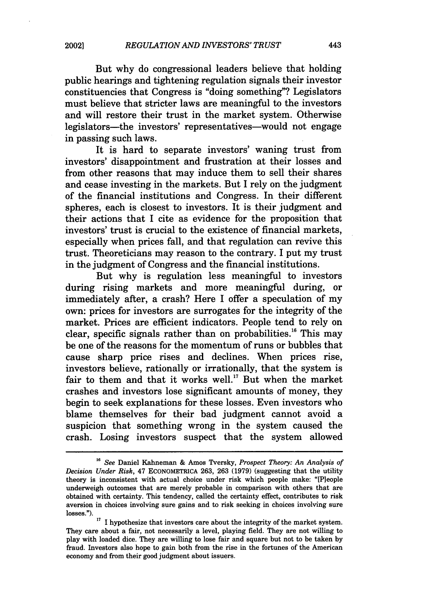But why do congressional leaders believe that holding public hearings and tightening regulation signals their investor constituencies that Congress is "doing something"? Legislators must believe that stricter laws are meaningful to the investors and will restore their trust in the market system. Otherwise legislators-the investors' representatives-would not engage in passing such laws.

It is hard to separate investors' waning trust from investors' disappointment and frustration at their losses and from other reasons that may induce them to sell their shares and cease investing in the markets. But I rely on the judgment of the financial institutions and Congress. In their different spheres, each is closest to investors. It is their judgment and their actions that I cite as evidence for the proposition that investors' trust is crucial to the existence of financial markets, especially when prices fall, and that regulation can revive this trust. Theoreticians may reason to the contrary. I put my trust in the judgment of Congress and the financial institutions.

But why is regulation less meaningful to investors during rising markets and more meaningful during, or immediately after, a crash? Here I offer a speculation of my own: prices for investors are surrogates for the integrity of the market. Prices are efficient indicators. People tend to rely on clear, specific signals rather than on probabilities." This may be one of the reasons for the momentum of runs or bubbles that cause sharp price rises and declines. When prices rise, investors believe, rationally or irrationally, that the system is fair to them and that it works well.<sup>17</sup> But when the market crashes and investors lose significant amounts of money, they begin to seek explanations for these losses. Even investors who blame themselves for their bad judgment cannot avoid a suspicion that something wrong in the system caused the crash. Losing investors suspect that the system allowed

**<sup>1</sup>s** *See* Daniel Kahneman & Amos Tversky, *Prospect Theory: An Analysis of Decision Under Risk,* 47 ECONOMETRICA 263, 263 (1979) (suggesting that the utility theory is inconsistent with actual choice under risk which people make: "[Pleople underweigh outcomes that are merely probable in comparison with others that are obtained with certainty. This tendency, called the certainty effect, contributes to risk aversion in choices involving sure gains and to risk seeking in choices involving sure losses.").

**<sup>17</sup>**I hypothesize that investors care about the integrity of the market system. They care about a fair, not necessarily a level, playing field. They are not willing to play with loaded dice. They are willing to lose fair and square but not to be taken by fraud. Investors also hope to gain both from the rise in the fortunes of the American economy and from their good judgment about issuers.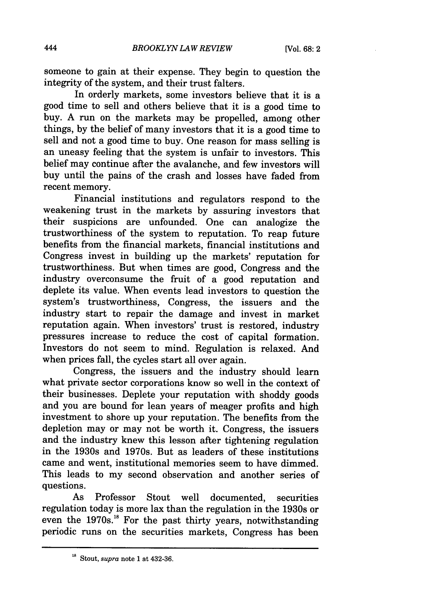someone to gain at their expense. They begin to question the integrity of the system, and their trust falters.

In orderly markets, some investors believe that it is a good time to sell and others believe that it is a good time to buy. A run on the markets may be propelled, among other things, by the belief of many investors that it is a good time to sell and not a good time to buy. One reason for mass selling is an uneasy feeling that the system is unfair to investors. This belief may continue after the avalanche, and few investors will buy until the pains of the crash and losses have faded from recent memory.

Financial institutions and regulators respond to the weakening trust in the markets by assuring investors that their suspicions are unfounded. One can analogize the trustworthiness of the system to reputation. To reap future benefits from the financial markets, financial institutions and Congress invest in building up the markets' reputation for trustworthiness. But when times are good, Congress and the industry overconsume the fruit of a good reputation and deplete its value. When events lead investors to question the system's trustworthiness, Congress, the issuers and the industry start to repair the damage and invest in market reputation again. When investors' trust is restored, industry pressures increase to reduce the cost of capital formation. Investors do not seem to mind. Regulation is relaxed. And when prices fall, the cycles start all over again.

Congress, the issuers and the industry should learn what private sector corporations know so well in the context of their businesses. Deplete your reputation with shoddy goods and you are bound for lean years of meager profits and high investment to shore up your reputation. The benefits from the depletion may or may not be worth it. Congress, the issuers and the industry knew this lesson after tightening regulation in the 1930s and 1970s. But as leaders of these institutions came and went, institutional memories seem to have dimmed. This leads to my second observation and another series of questions.

As Professor Stout well documented, securities regulation today is more lax than the regulation in the 1930s or even the  $1970s$ .<sup>18</sup> For the past thirty years, notwithstanding periodic runs on the securities markets, Congress has been

**<sup>&#</sup>x27;8** Stout, *supra* note **1** at 432-36.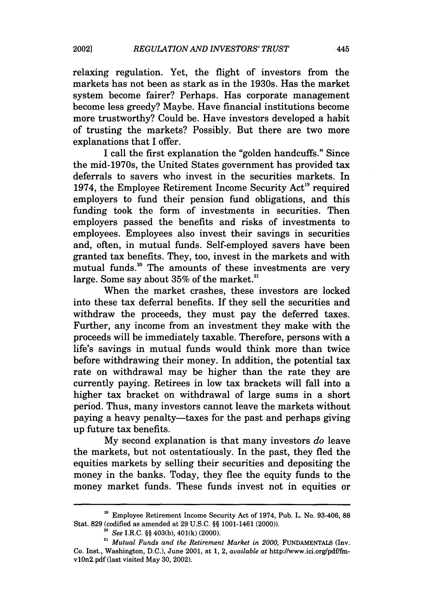relaxing regulation. Yet, the flight of investors from the markets has not been as stark as in the 1930s. Has the market system become fairer? Perhaps. Has corporate management become less greedy? Maybe. Have financial institutions become more trustworthy? Could be. Have investors developed a habit of trusting the markets? Possibly. But there are two more explanations that I offer.

I call the first explanation the "golden handcuffs." Since the mid-1970s, the United States government has provided tax deferrals to savers who invest in the securities markets. In 1974, the Employee Retirement Income Security Act<sup>19</sup> required employers to fund their pension fund obligations, and this funding took the form of investments in securities. Then employers passed the benefits and risks of investments to employees. Employees also invest their savings in securities and, often, in mutual funds. Self-employed savers have been granted tax benefits. They, too, invest in the markets and with mutual funds.<sup>20</sup> The amounts of these investments are very large. Some say about  $35\%$  of the market.<sup>21</sup>

When the market crashes, these investors are locked into these tax deferral benefits. If they sell the securities and withdraw the proceeds, they must pay the deferred taxes. Further, any income from an investment they make with the proceeds will be immediately taxable. Therefore, persons with a life's savings in mutual funds would think more than twice before withdrawing their money. In addition, the potential tax rate on withdrawal may be higher than the rate they are currently paying. Retirees in low tax brackets will fall into a higher tax bracket on withdrawal of large sums in a short period. Thus, many investors cannot leave the markets without paying a heavy penalty-taxes for the past and perhaps giving up future tax benefits.

My second explanation is that many investors *do* leave the markets, but not ostentatiously. In the past, they fled the equities markets by selling their securities and depositing the money in the banks. Today, they flee the equity funds to the money market funds. These funds invest not in equities or

<sup>&</sup>lt;sup>19</sup> Employee Retirement Income Security Act of 1974, Pub. L. No. 93-406, 88 Stat. 829 (codified as amended at 29 U.S.C. §§ 1001-1461 (2000)).

*<sup>20</sup>See* I.R.C. §§ 403(b), 401(k) (2000).

<sup>&</sup>lt;sup>21</sup> Mutual Funds and the Retirement Market in 2000, FUNDAMENTALS (Inv. Co. Inst., Washington, D.C.), June 2001, at 1, 2, *available at* http://www.ici.org/pdf/fmvlOn2.pdf (last visited May 30, 2002).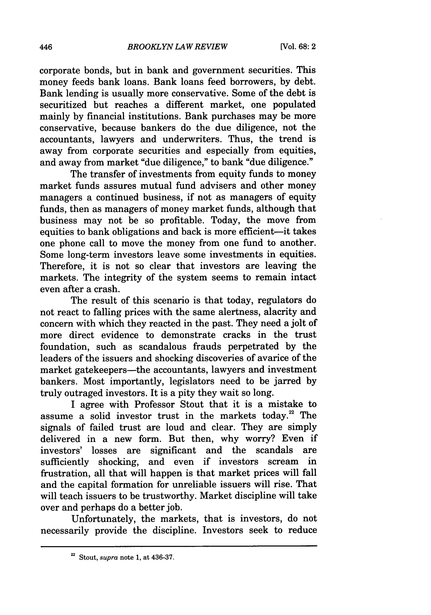corporate bonds, but in bank and government securities. This money feeds bank loans. Bank loans feed borrowers, by debt. Bank lending is usually more conservative. Some of the debt is securitized but reaches a different market, one populated mainly by financial institutions. Bank purchases may be more conservative, because bankers do the due diligence, not the accountants, lawyers and underwriters. Thus, the trend is away from corporate securities and especially from equities, and away from market "due diligence," to bank "due diligence."

The transfer of investments from equity funds to money market funds assures mutual fund advisers and other money managers a continued business, if not as managers of equity funds, then as managers of money market funds, although that business may not be so profitable. Today, the move from equities to bank obligations and back is more efficient-it takes one phone call to move the money from one fund to another. Some long-term investors leave some investments in equities. Therefore, it is not so clear that investors are leaving the markets. The integrity of the system seems to remain intact even after a crash.

The result of this scenario is that today, regulators do not react to falling prices with the same alertness, alacrity and concern with which they reacted in the past. They need a jolt of more direct evidence to demonstrate cracks in the trust foundation, such as scandalous frauds perpetrated by the leaders of the issuers and shocking discoveries of avarice of the market gatekeepers---the accountants, lawyers and investment bankers. Most importantly, legislators need to be jarred by truly outraged investors. It is a pity they wait so long.

I agree with Professor Stout that it is a mistake to assume a solid investor trust in the markets today.<sup>22</sup> The signals of failed trust are loud and clear. They are simply delivered in a new form. But then, why worry? Even if investors' losses are significant and the scandals are sufficiently shocking, and even if investors scream in frustration, all that will happen is that market prices will fall and the capital formation for unreliable issuers will rise. That will teach issuers to be trustworthy. Market discipline will take over and perhaps do a better job.

Unfortunately, the markets, that is investors, do not necessarily provide the discipline. Investors seek to reduce

<sup>&</sup>lt;sup>22</sup> Stout, *supra* note 1, at 436-37.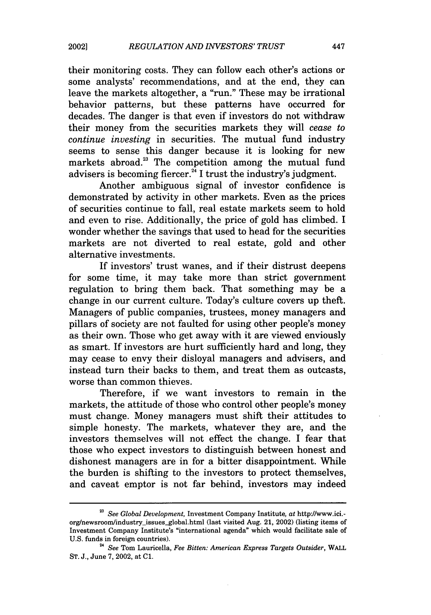their monitoring costs. They can follow each other's actions or some analysts' recommendations, and at the end, they can leave the markets altogether, a "run." These may be irrational behavior patterns, but these patterns have occurred for decades. The danger is that even if investors do not withdraw their money from the securities markets they will *cease to continue investing* in securities. The mutual fund industry seems to sense this danger because it is looking for new markets abroad.<sup>23</sup> The competition among the mutual fund advisers is becoming fiercer.<sup>24</sup> I trust the industry's judgment.

Another ambiguous signal of investor confidence is demonstrated by activity in other markets. Even as the prices of securities continue to fall, real estate markets seem to hold and even to rise. Additionally, the price of gold has climbed. I wonder whether the savings that used to head for the securities markets are not diverted to real estate, gold and other alternative investments.

If investors' trust wanes, and if their distrust deepens for some time, it may take more than strict government regulation to bring them back. That something may be a change in our current culture. Today's culture covers up theft. Managers of public companies, trustees, money managers and pillars of society are not faulted for using other people's money as their own. Those who get away with it are viewed enviously as smart. If investors are hurt sufficiently hard and long, they may cease to envy their disloyal managers and advisers, and instead turn their backs to them, and treat them as outcasts, worse than common thieves.

Therefore, if we want investors to remain in the markets, the attitude of those who control other people's money must change. Money managers must shift their attitudes to simple honesty. The markets, whatever they are, and the investors themselves will not effect the change. I fear that those who expect investors to distinguish between honest and dishonest managers are in for a bitter disappointment. While the burden is shifting to the investors to protect themselves, and caveat emptor is not far behind, investors may indeed

*<sup>23</sup>See Global Development,* Investment Company Institute, *at* http://www.ici. org/newsroom/industry-issues.global.html (last visited Aug. 21, 2002) (listing items of Investment Company Institute's "international agenda" which would facilitate sale of U.S. funds in foreign countries).

<sup>2</sup>*See* Tom Lauricella, *Fee Bitten: American Express Targets Outsider,* WALL ST. J., June 7, 2002, at **C1.**